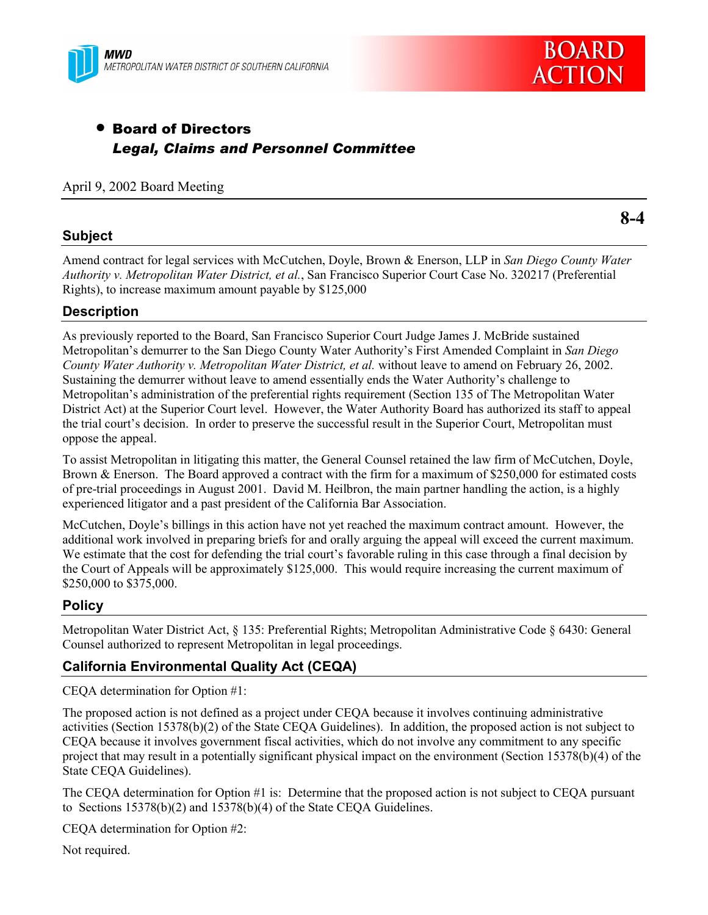



# • Board of Directors *Legal, Claims and Personnel Committee*

April 9, 2002 Board Meeting

### **Subject**

**8-4**

Amend contract for legal services with McCutchen, Doyle, Brown & Enerson, LLP in *San Diego County Water Authority v. Metropolitan Water District, et al.*, San Francisco Superior Court Case No. 320217 (Preferential Rights), to increase maximum amount payable by \$125,000

# **Description**

As previously reported to the Board, San Francisco Superior Court Judge James J. McBride sustained Metropolitanís demurrer to the San Diego County Water Authorityís First Amended Complaint in *San Diego County Water Authority v. Metropolitan Water District, et al.* without leave to amend on February 26, 2002. Sustaining the demurrer without leave to amend essentially ends the Water Authority's challenge to Metropolitan's administration of the preferential rights requirement (Section 135 of The Metropolitan Water District Act) at the Superior Court level. However, the Water Authority Board has authorized its staff to appeal the trial court's decision. In order to preserve the successful result in the Superior Court, Metropolitan must oppose the appeal.

To assist Metropolitan in litigating this matter, the General Counsel retained the law firm of McCutchen, Doyle, Brown & Enerson. The Board approved a contract with the firm for a maximum of \$250,000 for estimated costs of pre-trial proceedings in August 2001. David M. Heilbron, the main partner handling the action, is a highly experienced litigator and a past president of the California Bar Association.

McCutchen, Doyle's billings in this action have not yet reached the maximum contract amount. However, the additional work involved in preparing briefs for and orally arguing the appeal will exceed the current maximum. We estimate that the cost for defending the trial court's favorable ruling in this case through a final decision by the Court of Appeals will be approximately \$125,000. This would require increasing the current maximum of \$250,000 to \$375,000.

# **Policy**

Metropolitan Water District Act, ß 135: Preferential Rights; Metropolitan Administrative Code ß 6430: General Counsel authorized to represent Metropolitan in legal proceedings.

# **California Environmental Quality Act (CEQA)**

CEQA determination for Option #1:

The proposed action is not defined as a project under CEQA because it involves continuing administrative activities (Section 15378(b)(2) of the State CEQA Guidelines). In addition, the proposed action is not subject to CEQA because it involves government fiscal activities, which do not involve any commitment to any specific project that may result in a potentially significant physical impact on the environment (Section 15378(b)(4) of the State CEQA Guidelines).

The CEQA determination for Option #1 is: Determine that the proposed action is not subject to CEQA pursuant to Sections 15378(b)(2) and 15378(b)(4) of the State CEQA Guidelines.

CEQA determination for Option #2:

Not required.